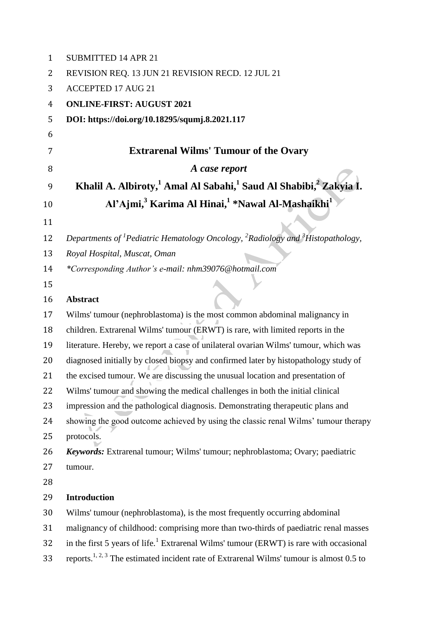| $\mathbf{1}$ | <b>SUBMITTED 14 APR 21</b>                                                                                         |
|--------------|--------------------------------------------------------------------------------------------------------------------|
| 2            | REVISION REQ. 13 JUN 21 REVISION RECD. 12 JUL 21                                                                   |
| 3            | <b>ACCEPTED 17 AUG 21</b>                                                                                          |
| 4            | <b>ONLINE-FIRST: AUGUST 2021</b>                                                                                   |
| 5            | DOI: https://doi.org/10.18295/squmj.8.2021.117                                                                     |
| 6            |                                                                                                                    |
| 7            | <b>Extrarenal Wilms' Tumour of the Ovary</b>                                                                       |
| 8            | A case report                                                                                                      |
| 9            | Khalil A. Albiroty, <sup>1</sup> Amal Al Sabahi, <sup>1</sup> Saud Al Shabibi, <sup>2</sup> Zakyia I.              |
| 10           | Al'Ajmi, <sup>3</sup> Karima Al Hinai, <sup>1</sup> *Nawal Al-Mashaikhi <sup>1</sup>                               |
| 11           |                                                                                                                    |
| 12           | Departments of <sup>1</sup> Pediatric Hematology Oncology, <sup>2</sup> Radiology and <sup>3</sup> Histopathology, |
| 13           | Royal Hospital, Muscat, Oman                                                                                       |
| 14           | *Corresponding Author's e-mail: nhm39076@hotmail.com                                                               |
| 15           |                                                                                                                    |
| 16           | <b>Abstract</b>                                                                                                    |
| 17           | Wilms' tumour (nephroblastoma) is the most common abdominal malignancy in                                          |
| 18           | children. Extrarenal Wilms' tumour (ERWT) is rare, with limited reports in the                                     |
| 19           | literature. Hereby, we report a case of unilateral ovarian Wilms' tumour, which was                                |
| 20           | diagnosed initially by closed biopsy and confirmed later by histopathology study of                                |
| 21           | the excised tumour. We are discussing the unusual location and presentation of                                     |
| 22           | Wilms' tumour and showing the medical challenges in both the initial clinical                                      |
| 23           | impression and the pathological diagnosis. Demonstrating therapeutic plans and                                     |
| 24           | showing the good outcome achieved by using the classic renal Wilms' tumour therapy                                 |
| 25           | protocols.                                                                                                         |
| 26           | Keywords: Extrarenal tumour; Wilms' tumour; nephroblastoma; Ovary; paediatric                                      |
| 27           | tumour.                                                                                                            |
| 28           |                                                                                                                    |
| 29           | <b>Introduction</b>                                                                                                |
| 30           | Wilms' tumour (nephroblastoma), is the most frequently occurring abdominal                                         |
| 31           | malignancy of childhood: comprising more than two-thirds of paediatric renal masses                                |
| 32           | in the first 5 years of life. <sup>1</sup> Extrarenal Wilms' tumour (ERWT) is rare with occasional                 |
| 33           | reports. <sup>1, 2, 3</sup> The estimated incident rate of Extrarenal Wilms' tumour is almost 0.5 to               |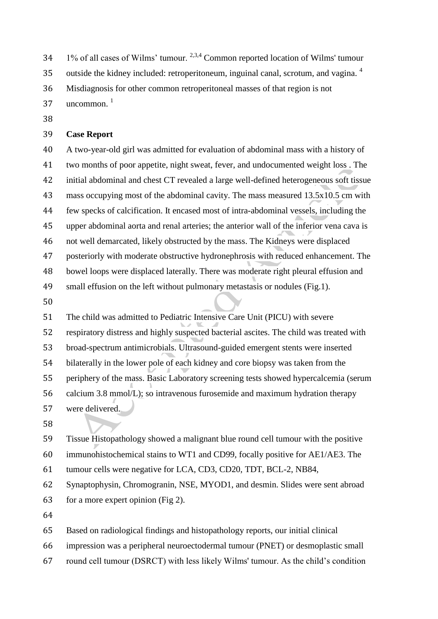$1\%$  of all cases of Wilms' tumour. <sup>2,3,4</sup> Common reported location of Wilms' tumour

outside the kidney included: retroperitoneum, inguinal canal, scrotum, and vagina. <sup>4</sup> 

Misdiagnosis for other common retroperitoneal masses of that region is not

uncommon $^{-1}$ 

### **Case Report**

 A two-year-old girl was admitted for evaluation of abdominal mass with a history of two months of poor appetite, night sweat, fever, and undocumented weight loss . The initial abdominal and chest CT revealed a large well-defined heterogeneous soft tissue mass occupying most of the abdominal cavity. The mass measured 13.5x10.5 cm with few specks of calcification. It encased most of intra-abdominal vessels, including the upper abdominal aorta and renal arteries; the anterior wall of the inferior vena cava is not well demarcated, likely obstructed by the mass. The Kidneys were displaced posteriorly with moderate obstructive hydronephrosis with reduced enhancement. The bowel loops were displaced laterally. There was moderate right pleural effusion and small effusion on the left without pulmonary metastasis or nodules (Fig.1).

 The child was admitted to Pediatric Intensive Care Unit (PICU) with severe respiratory distress and highly suspected bacterial ascites. The child was treated with broad-spectrum antimicrobials. Ultrasound-guided emergent stents were inserted bilaterally in the lower pole of each kidney and core biopsy was taken from the periphery of the mass. Basic Laboratory screening tests showed hypercalcemia (serum calcium 3.8 mmol/L); so intravenous furosemide and maximum hydration therapy were delivered.

 Tissue Histopathology showed a malignant blue round cell tumour with the positive immunohistochemical stains to WT1 and CD99, focally positive for AE1/AE3. The tumour cells were negative for LCA, CD3, CD20, TDT, BCL-2, NB84,

 Synaptophysin, Chromogranin, NSE, MYOD1, and desmin. Slides were sent abroad for a more expert opinion (Fig 2).

Based on radiological findings and histopathology reports, our initial clinical

impression was a peripheral neuroectodermal tumour (PNET) or desmoplastic small

round cell tumour (DSRCT) with less likely Wilms' tumour. As the child's condition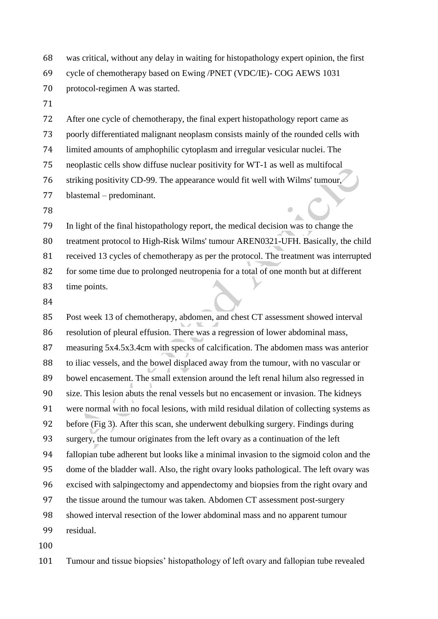- was critical, without any delay in waiting for histopathology expert opinion, the first cycle of chemotherapy based on Ewing /PNET (VDC/IE)- COG AEWS 1031
- protocol-regimen A was started.
- 

 After one cycle of chemotherapy, the final expert histopathology report came as poorly differentiated malignant neoplasm consists mainly of the rounded cells with limited amounts of amphophilic cytoplasm and irregular vesicular nuclei. The neoplastic cells show diffuse nuclear positivity for WT-1 as well as multifocal striking positivity CD-99. The appearance would fit well with Wilms' tumour, blastemal – predominant.

 In light of the final histopathology report, the medical decision was to change the treatment protocol to High-Risk Wilms' tumour AREN0321-UFH. Basically, the child received 13 cycles of chemotherapy as per the protocol. The treatment was interrupted for some time due to prolonged neutropenia for a total of one month but at different time points.

 Post week 13 of chemotherapy, abdomen, and chest CT assessment showed interval resolution of pleural effusion. There was a regression of lower abdominal mass, measuring 5x4.5x3.4cm with specks of calcification. The abdomen mass was anterior to iliac vessels, and the bowel displaced away from the tumour, with no vascular or bowel encasement. The small extension around the left renal hilum also regressed in size. This lesion abuts the renal vessels but no encasement or invasion. The kidneys were normal with no focal lesions, with mild residual dilation of collecting systems as before (Fig 3). After this scan, she underwent debulking surgery. Findings during surgery, the tumour originates from the left ovary as a continuation of the left fallopian tube adherent but looks like a minimal invasion to the sigmoid colon and the dome of the bladder wall. Also, the right ovary looks pathological. The left ovary was excised with salpingectomy and appendectomy and biopsies from the right ovary and the tissue around the tumour was taken. Abdomen CT assessment post-surgery showed interval resection of the lower abdominal mass and no apparent tumour residual.

Tumour and tissue biopsies' histopathology of left ovary and fallopian tube revealed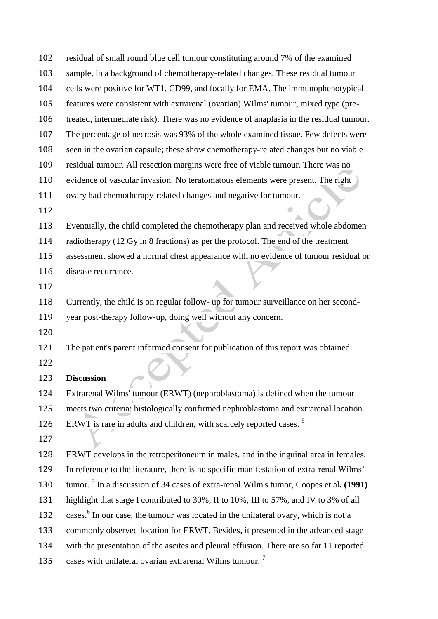| 102 | residual of small round blue cell tumour constituting around 7% of the examined                   |
|-----|---------------------------------------------------------------------------------------------------|
| 103 | sample, in a background of chemotherapy-related changes. These residual tumour                    |
| 104 | cells were positive for WT1, CD99, and focally for EMA. The immunophenotypical                    |
| 105 | features were consistent with extrarenal (ovarian) Wilms' tumour, mixed type (pre-                |
| 106 | treated, intermediate risk). There was no evidence of anaplasia in the residual tumour.           |
| 107 | The percentage of necrosis was 93% of the whole examined tissue. Few defects were                 |
| 108 | seen in the ovarian capsule; these show chemotherapy-related changes but no viable                |
| 109 | residual tumour. All resection margins were free of viable tumour. There was no                   |
| 110 | evidence of vascular invasion. No teratomatous elements were present. The right                   |
| 111 | ovary had chemotherapy-related changes and negative for tumour.                                   |
| 112 |                                                                                                   |
| 113 | Eventually, the child completed the chemotherapy plan and received whole abdomen                  |
| 114 | radiotherapy (12 Gy in 8 fractions) as per the protocol. The end of the treatment                 |
| 115 | assessment showed a normal chest appearance with no evidence of tumour residual or                |
| 116 | disease recurrence.                                                                               |
| 117 |                                                                                                   |
| 118 | Currently, the child is on regular follow- up for tumour surveillance on her second-              |
| 119 | year post-therapy follow-up, doing well without any concern.                                      |
| 120 |                                                                                                   |
| 121 | The patient's parent informed consent for publication of this report was obtained.                |
| 122 |                                                                                                   |
| 123 | <b>Discussion</b>                                                                                 |
| 124 | Extrarenal Wilms' tumour (ERWT) (nephroblastoma) is defined when the tumour                       |
| 125 | meets two criteria: histologically confirmed nephroblastoma and extrarenal location.              |
| 126 | ERWT is rare in adults and children, with scarcely reported cases. <sup>5</sup>                   |
| 127 |                                                                                                   |
| 128 | ERWT develops in the retroperitoneum in males, and in the inguinal area in females.               |
| 129 | In reference to the literature, there is no specific manifestation of extra-renal Wilms'          |
| 130 | tumor. <sup>5</sup> In a discussion of 34 cases of extra-renal Wilm's tumor, Coopes et al. (1991) |
| 131 | highlight that stage I contributed to 30%, II to 10%, III to 57%, and IV to 3% of all             |
| 132 | cases. <sup>6</sup> In our case, the tumour was located in the unilateral ovary, which is not a   |
| 133 | commonly observed location for ERWT. Besides, it presented in the advanced stage                  |
| 134 | with the presentation of the ascites and pleural effusion. There are so far 11 reported           |
| 135 | cases with unilateral ovarian extrarenal Wilms tumour. <sup>7</sup>                               |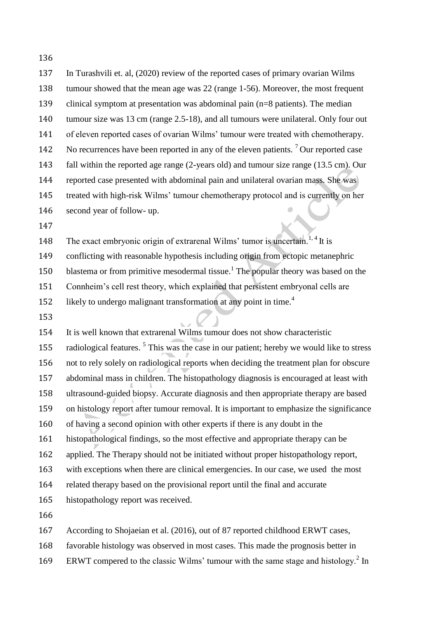| 137 | In Turashvili et. al, (2020) review of the reported cases of primary ovarian Wilms                   |
|-----|------------------------------------------------------------------------------------------------------|
| 138 | tumour showed that the mean age was 22 (range 1-56). Moreover, the most frequent                     |
| 139 | clinical symptom at presentation was abdominal pain (n=8 patients). The median                       |
| 140 | tumour size was 13 cm (range 2.5-18), and all tumours were unilateral. Only four out                 |
| 141 | of eleven reported cases of ovarian Wilms' tumour were treated with chemotherapy.                    |
| 142 | No recurrences have been reported in any of the eleven patients. <sup>7</sup> Our reported case      |
| 143 | fall within the reported age range (2-years old) and tumour size range (13.5 cm). Our                |
| 144 | reported case presented with abdominal pain and unilateral ovarian mass. She was                     |
| 145 | treated with high-risk Wilms' tumour chemotherapy protocol and is currently on her                   |
| 146 | second year of follow- up.                                                                           |
| 147 |                                                                                                      |
| 148 | The exact embryonic origin of extrarenal Wilms' tumor is uncertain. <sup>1, 4</sup> It is            |
| 149 | conflicting with reasonable hypothesis including origin from ectopic metanephric                     |
| 150 | blastema or from primitive mesodermal tissue. <sup>1</sup> The popular theory was based on the       |
| 151 | Connheim's cell rest theory, which explained that persistent embryonal cells are                     |
| 152 | likely to undergo malignant transformation at any point in time. <sup>4</sup>                        |
| 153 |                                                                                                      |
| 154 | It is well known that extrarenal Wilms tumour does not show characteristic                           |
| 155 | radiological features. <sup>5</sup> This was the case in our patient; hereby we would like to stress |
| 156 | not to rely solely on radiological reports when deciding the treatment plan for obscure              |
| 157 | abdominal mass in children. The histopathology diagnosis is encouraged at least with                 |
| 158 | ultrasound-guided biopsy. Accurate diagnosis and then appropriate therapy are based                  |
| 159 | on histology report after tumour removal. It is important to emphasize the significance              |
| 160 | of having a second opinion with other experts if there is any doubt in the                           |
|     |                                                                                                      |

histopathological findings, so the most effective and appropriate therapy can be

applied. The Therapy should not be initiated without proper histopathology report,

with exceptions when there are clinical emergencies. In our case, we used the most

related therapy based on the provisional report until the final and accurate

histopathology report was received.

According to Shojaeian et al. (2016), out of 87 reported childhood ERWT cases,

favorable histology was observed in most cases. This made the prognosis better in

169 ERWT compered to the classic Wilms' tumour with the same stage and histology.<sup>2</sup> In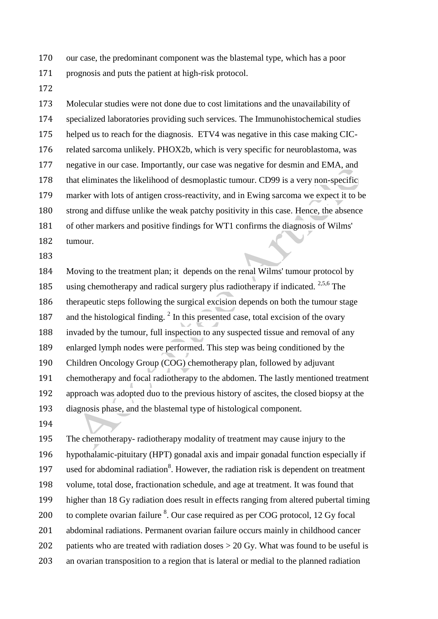our case, the predominant component was the blastemal type, which has a poor

- prognosis and puts the patient at high-risk protocol.
- 

 Molecular studies were not done due to cost limitations and the unavailability of specialized laboratories providing such services. The Immunohistochemical studies helped us to reach for the diagnosis. ETV4 was negative in this case making CIC- related sarcoma unlikely. PHOX2b, which is very specific for neuroblastoma, was negative in our case. Importantly, our case was negative for desmin and EMA, and that eliminates the likelihood of desmoplastic tumour. CD99 is a very non-specific marker with lots of antigen cross-reactivity, and in Ewing sarcoma we expect it to be strong and diffuse unlike the weak patchy positivity in this case. Hence, the absence of other markers and positive findings for WT1 confirms the diagnosis of Wilms' tumour.

 Moving to the treatment plan; it depends on the renal Wilms' tumour protocol by 185 using chemotherapy and radical surgery plus radiotherapy if indicated.  $2,5,6$  The therapeutic steps following the surgical excision depends on both the tumour stage 187 and the histological finding.  $2 \text{ In this presented case, total excision of the ovary}$  invaded by the tumour, full inspection to any suspected tissue and removal of any enlarged lymph nodes were performed. This step was being conditioned by the Children Oncology Group (COG) chemotherapy plan, followed by adjuvant chemotherapy and focal radiotherapy to the abdomen. The lastly mentioned treatment approach was adopted duo to the previous history of ascites, the closed biopsy at the diagnosis phase, and the blastemal type of histological component.

 The chemotherapy- radiotherapy modality of treatment may cause injury to the hypothalamic-pituitary (HPT) gonadal axis and impair gonadal function especially if 197 used for abdominal radiation<sup>8</sup>. However, the radiation risk is dependent on treatment volume, total dose, fractionation schedule, and age at treatment. It was found that higher than 18 Gy radiation does result in effects ranging from altered pubertal timing 200 to complete ovarian failure . Our case required as per COG protocol, 12 Gy focal abdominal radiations. Permanent ovarian failure occurs mainly in childhood cancer 202 patients who are treated with radiation doses  $> 20$  Gy. What was found to be useful is an ovarian transposition to a region that is lateral or medial to the planned radiation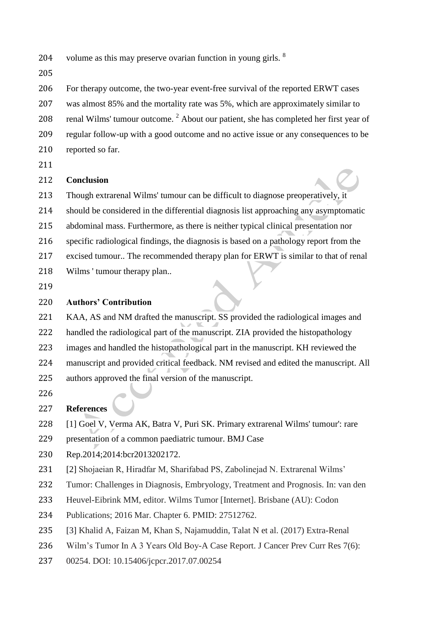- volume as this may preserve ovarian function in young girls. <sup>8</sup>
- 

For therapy outcome, the two-year event-free survival of the reported ERWT cases

 was almost 85% and the mortality rate was 5%, which are approximately similar to 208 renal Wilms' tumour outcome. About our patient, she has completed her first year of

- regular follow-up with a good outcome and no active issue or any consequences to be reported so far.
- 

### **Conclusion**

Though extrarenal Wilms' tumour can be difficult to diagnose preoperatively, it

should be considered in the differential diagnosis list approaching any asymptomatic

- abdominal mass. Furthermore, as there is neither typical clinical presentation nor
- specific radiological findings, the diagnosis is based on a pathology report from the
- excised tumour.. The recommended therapy plan for ERWT is similar to that of renal
- Wilms ' tumour therapy plan..
- 

# **Authors' Contribution**

 KAA, AS and NM drafted the manuscript. SS provided the radiological images and handled the radiological part of the manuscript. ZIA provided the histopathology images and handled the histopathological part in the manuscript. KH reviewed the manuscript and provided critical feedback. NM revised and edited the manuscript. All

- authors approved the final version of the manuscript.
- 

# **References**

- [1] Goel V, Verma AK, Batra V, Puri SK. Primary extrarenal Wilms' tumour': rare
- presentation of a common paediatric tumour. BMJ Case
- Rep.2014;2014:bcr2013202172.
- [2] Shojaeian R, Hiradfar M, Sharifabad PS, Zabolinejad N. Extrarenal Wilms'
- Tumor: Challenges in Diagnosis, Embryology, Treatment and Prognosis. In: van den
- Heuvel-Eibrink MM, editor. Wilms Tumor [Internet]. Brisbane (AU): Codon
- Publications; 2016 Mar. Chapter 6. PMID: 27512762.
- [3] Khalid A, Faizan M, Khan S, Najamuddin, Talat N et al. (2017) Extra-Renal
- 236 Wilm's Tumor In A 3 Years Old Boy-A Case Report. J Cancer Prev Curr Res 7(6):
- 00254. DOI: 10.15406/jcpcr.2017.07.00254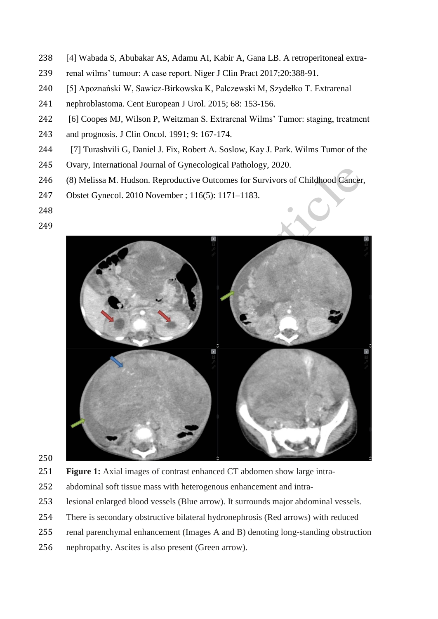- [4] Wabada S, Abubakar AS, Adamu AI, Kabir A, Gana LB. A retroperitoneal extra-
- renal wilms' tumour: A case report. Niger J Clin Pract 2017;20:388-91.
- [5] Apoznański W, Sawicz-Birkowska K, Palczewski M, Szydełko T. Extrarenal
- nephroblastoma. Cent European J Urol. 2015; 68: 153-156.
- [6] Coopes MJ, Wilson P, Weitzman S. Extrarenal Wilms' Tumor: staging, treatment
- and prognosis. J Clin Oncol. 1991; 9: 167-174.
- [7] Turashvili G, Daniel J. Fix, Robert A. Soslow, Kay J. Park. Wilms Tumor of the
- Ovary, International Journal of Gynecological Pathology, 2020.
- (8) Melissa M. Hudson. Reproductive Outcomes for Survivors of Childhood Cancer,
- Obstet Gynecol. 2010 November ; 116(5): 1171–1183.
- 
- 



- 
- **Figure 1:** Axial images of contrast enhanced CT abdomen show large intra-
- abdominal soft tissue mass with heterogenous enhancement and intra-
- lesional enlarged blood vessels (Blue arrow). It surrounds major abdominal vessels.
- There is secondary obstructive bilateral hydronephrosis (Red arrows) with reduced
- renal parenchymal enhancement (Images A and B) denoting long-standing obstruction
- nephropathy. Ascites is also present (Green arrow).